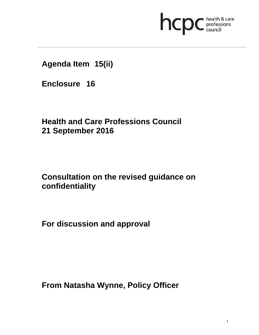

**Agenda Item 15(ii)** 

**Enclosure 16**

**Health and Care Professions Council 21 September 2016**

# **Consultation on the revised guidance on confidentiality**

**For discussion and approval** 

**From Natasha Wynne, Policy Officer**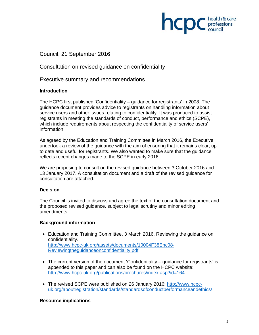# **INCID** C professions

## Council, 21 September 2016

Consultation on revised guidance on confidentiality

Executive summary and recommendations

## **Introduction**

The HCPC first published 'Confidentiality – guidance for registrants' in 2008. The guidance document provides advice to registrants on handling information about service users and other issues relating to confidentiality. It was produced to assist registrants in meeting the standards of conduct, performance and ethics (SCPE), which include requirements about respecting the confidentiality of service users' information.

As agreed by the Education and Training Committee in March 2016, the Executive undertook a review of the guidance with the aim of ensuring that it remains clear, up to date and useful for registrants. We also wanted to make sure that the guidance reflects recent changes made to the SCPE in early 2016.

We are proposing to consult on the revised guidance between 3 October 2016 and 13 January 2017. A consultation document and a draft of the revised guidance for consultation are attached.

## **Decision**

The Council is invited to discuss and agree the text of the consultation document and the proposed revised guidance, subject to legal scrutiny and minor editing amendments.

## **Background information**

- Education and Training Committee, 3 March 2016. Reviewing the guidance on confidentiality. http://www.hcpc-uk.org/assets/documents/10004F38Enc08- Reviewingtheguidanceonconfidentiality.pdf
- The current version of the document 'Confidentiality guidance for registrants' is appended to this paper and can also be found on the HCPC website: http://www.hcpc-uk.org/publications/brochures/index.asp?id=164
- The revised SCPE were published on 26 January 2016: http://www.hcpcuk.org/aboutregistration/standards/standardsofconductperformanceandethics/

## **Resource implications**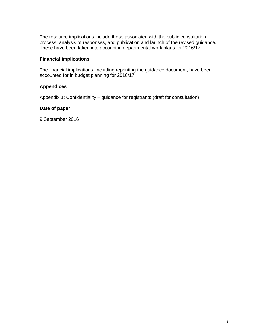The resource implications include those associated with the public consultation process, analysis of responses, and publication and launch of the revised guidance. These have been taken into account in departmental work plans for 2016/17.

## **Financial implications**

The financial implications, including reprinting the guidance document, have been accounted for in budget planning for 2016/17.

#### **Appendices**

Appendix 1: Confidentiality – guidance for registrants (draft for consultation)

#### **Date of paper**

9 September 2016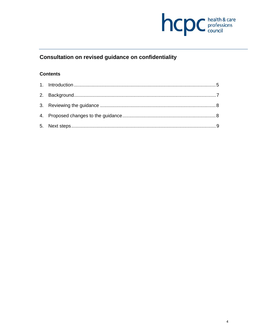

## Consultation on revised guidance on confidentiality

## **Contents**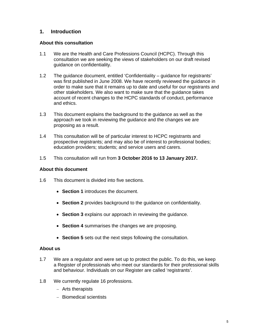## **1. Introduction**

## **About this consultation**

- 1.1 We are the Health and Care Professions Council (HCPC). Through this consultation we are seeking the views of stakeholders on our draft revised guidance on confidentiality.
- 1.2 The guidance document, entitled 'Confidentiality guidance for registrants' was first published in June 2008. We have recently reviewed the guidance in order to make sure that it remains up to date and useful for our registrants and other stakeholders. We also want to make sure that the guidance takes account of recent changes to the HCPC standards of conduct, performance and ethics.
- 1.3 This document explains the background to the guidance as well as the approach we took in reviewing the guidance and the changes we are proposing as a result.
- 1.4 This consultation will be of particular interest to HCPC registrants and prospective registrants; and may also be of interest to professional bodies; education providers; students; and service users and carers.
- 1.5 This consultation will run from **3 October 2016 to 13 January 2017.**

## **About this document**

- 1.6 This document is divided into five sections.
	- **Section 1** introduces the document.
	- **Section 2** provides background to the guidance on confidentiality.
	- **Section 3** explains our approach in reviewing the guidance.
	- **Section 4** summarises the changes we are proposing.
	- **Section 5** sets out the next steps following the consultation.

## **About us**

- 1.7 We are a regulator and were set up to protect the public. To do this, we keep a Register of professionals who meet our standards for their professional skills and behaviour. Individuals on our Register are called 'registrants'.
- 1.8 We currently regulate 16 professions.
	- Arts therapists
	- Biomedical scientists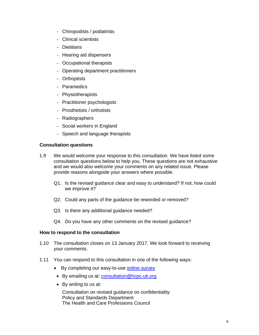- Chiropodists / podiatrists
- Clinical scientists
- Dietitians
- Hearing aid dispensers
- Occupational therapists
- Operating department practitioners
- Orthoptists
- Paramedics
- Physiotherapists
- Practitioner psychologists
- Prosthetists / orthotists
- Radiographers
- Social workers in England
- $-$  Speech and language therapists

## **Consultation questions**

- 1.9 We would welcome your response to this consultation. We have listed some consultation questions below to help you. These questions are not exhaustive and we would also welcome your comments on any related issue. Please provide reasons alongside your answers where possible.
	- Q1. Is the revised guidance clear and easy to understand? If not, how could we improve it?
	- Q2. Could any parts of the guidance be reworded or removed?
	- Q3. Is there any additional guidance needed?
	- Q4. Do you have any other comments on the revised guidance?

## **How to respond to the consultation**

- 1.10 The consultation closes on 13 January 2017. We look forward to receiving your comments.
- 1.11 You can respond to this consultation in one of the following ways:
	- By completing our easy-to-use online survey
	- By emailing us at: consultation@hcpc-uk.org
	- By writing to us at:

Consultation on revised guidance on confidentiality Policy and Standards Department The Health and Care Professions Council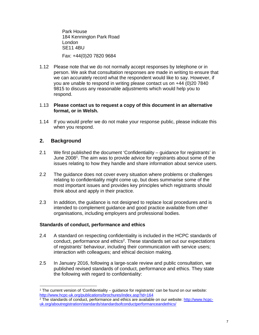Park House 184 Kennington Park Road London SE11 4BU Fax: +44(0)20 7820 9684

1.12 Please note that we do not normally accept responses by telephone or in person. We ask that consultation responses are made in writing to ensure that we can accurately record what the respondent would like to say. However, if you are unable to respond in writing please contact us on +44 (0)20 7840 9815 to discuss any reasonable adjustments which would help you to respond.

### 1.13 **Please contact us to request a copy of this document in an alternative format, or in Welsh.**

1.14 If you would prefer we do not make your response public, please indicate this when you respond.

## **2. Background**

- 2.1 We first published the document 'Confidentiality guidance for registrants' in June 2008<sup>1</sup>. The aim was to provide advice for registrants about some of the issues relating to how they handle and share information about service users.
- 2.2 The guidance does not cover every situation where problems or challenges relating to confidentiality might come up, but does summarise some of the most important issues and provides key principles which registrants should think about and apply in their practice.
- 2.3 In addition, the guidance is not designed to replace local procedures and is intended to complement guidance and good practice available from other organisations, including employers and professional bodies.

## **Standards of conduct, performance and ethics**

- 2.4 A standard on respecting confidentiality is included in the HCPC standards of conduct, performance and ethics<sup>2</sup>. These standards set out our expectations of registrants' behaviour, including their communication with service users; interaction with colleagues; and ethical decision making.
- 2.5 In January 2016, following a large-scale review and public consultation, we published revised standards of conduct, performance and ethics. They state the following with regard to confidentiality:

 <sup>1</sup> The current version of 'Confidentiality – guidance for registrants' can be found on our website:<br>http://www.hcpc-uk.org/publications/brochures/index.asp?id=164

<sup>&</sup>lt;sup>2</sup> The standards of conduct, performance and ethics are available on our website: http://www.hcpcuk.org/aboutregistration/standards/standardsofconductperformanceandethics/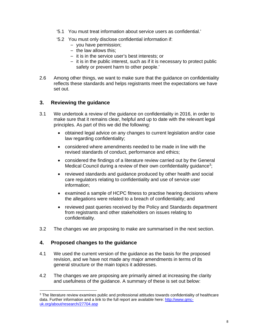- '5.1 You must treat information about service users as confidential.'
- '5.2 You must only disclose confidential information if:
	- you have permission;
	- the law allows this;
	- it is in the service user's best interests; or
	- it is in the public interest, such as if it is necessary to protect public safety or prevent harm to other people.'
- 2.6 Among other things, we want to make sure that the guidance on confidentiality reflects these standards and helps registrants meet the expectations we have set out.

## **3. Reviewing the guidance**

- 3.1 We undertook a review of the guidance on confidentiality in 2016, in order to make sure that it remains clear, helpful and up to date with the relevant legal principles. As part of this we did the following:
	- obtained legal advice on any changes to current legislation and/or case law regarding confidentiality;
	- considered where amendments needed to be made in line with the revised standards of conduct, performance and ethics;
	- considered the findings of a literature review carried out by the General Medical Council during a review of their own confidentiality guidance<sup>3</sup>;
	- reviewed standards and guidance produced by other health and social care regulators relating to confidentiality and use of service user information;
	- examined a sample of HCPC fitness to practise hearing decisions where the allegations were related to a breach of confidentiality; and
	- reviewed past queries received by the Policy and Standards department from registrants and other stakeholders on issues relating to confidentiality.
- 3.2 The changes we are proposing to make are summarised in the next section.

## **4. Proposed changes to the guidance**

- 4.1 We used the current version of the guidance as the basis for the proposed revision, and we have not made any major amendments in terms of its general structure or the main topics it addresses.
- 4.2 The changes we are proposing are primarily aimed at increasing the clarity and usefulness of the guidance. A summary of these is set out below:

 <sup>3</sup> The literature review examines public and professional attitudes towards confidentiality of healthcare data. Further information and a link to the full report are available here: http://www.gmcuk.org/about/research/27704.asp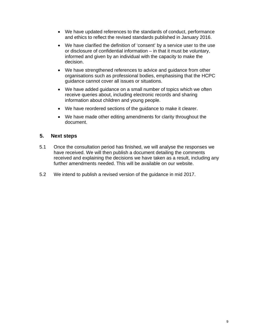- We have updated references to the standards of conduct, performance and ethics to reflect the revised standards published in January 2016.
- We have clarified the definition of 'consent' by a service user to the use or disclosure of confidential information – in that it must be voluntary, informed and given by an individual with the capacity to make the decision.
- We have strengthened references to advice and guidance from other organisations such as professional bodies, emphasising that the HCPC guidance cannot cover all issues or situations.
- We have added guidance on a small number of topics which we often receive queries about, including electronic records and sharing information about children and young people.
- We have reordered sections of the guidance to make it clearer.
- We have made other editing amendments for clarity throughout the document.

## **5. Next steps**

- 5.1 Once the consultation period has finished, we will analyse the responses we have received. We will then publish a document detailing the comments received and explaining the decisions we have taken as a result, including any further amendments needed. This will be available on our website.
- 5.2 We intend to publish a revised version of the guidance in mid 2017.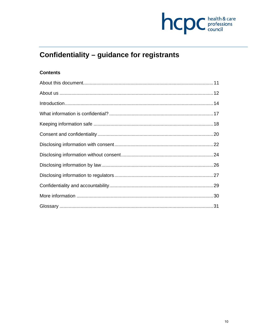

# Confidentiality - guidance for registrants

## **Contents**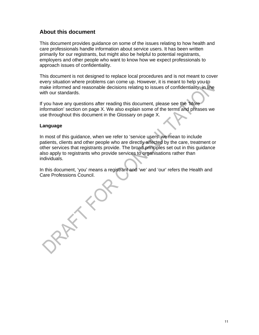## **About this document**

This document provides guidance on some of the issues relating to how health and care professionals handle information about service users. It has been written primarily for our registrants, but might also be helpful to potential registrants, employers and other people who want to know how we expect professionals to approach issues of confidentiality.

This document is not designed to replace local procedures and is not meant to cover every situation where problems can come up. However, it is meant to help you to make informed and reasonable decisions relating to issues of confidentiality, in line with our standards.

If you have any questions after reading this document, please see the 'More information' section on page X. We also explain some of the terms and phrases we use throughout this document in the Glossary on page X.

## **Language**

In most of this guidance, when we refer to 'service users' we mean to include patients, clients and other people who are directly affected by the care, treatment or other services that registrants provide. The broad principles set out in this guidance also apply to registrants who provide services to organisations rather than individuals.

In this document, 'you' means a registrant and 'we' and 'our' refers the Health and Care Professions Council.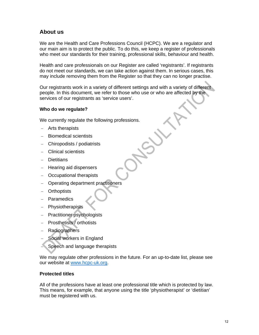## **About us**

We are the Health and Care Professions Council (HCPC). We are a regulator and our main aim is to protect the public. To do this, we keep a register of professionals who meet our standards for their training, professional skills, behaviour and health.

Health and care professionals on our Register are called 'registrants'. If registrants do not meet our standards, we can take action against them. In serious cases, this may include removing them from the Register so that they can no longer practise.

Our registrants work in a variety of different settings and with a variety of different people. In this document, we refer to those who use or who are affected by the services of our registrants as 'service users'.

## **Who do we regulate?**

We currently regulate the following professions.

- Arts therapists
- Biomedical scientists
- Chiropodists / podiatrists
- Clinical scientists
- **Dietitians**
- Hearing aid dispensers
- Occupational therapists
- Operating department practitioners
- **Orthoptists**
- Paramedics
- **Physiotherapists**
- Practitioner psychologists
- Prosthetists / orthotists
- **Radiographers**
- Social workers in England
- Speech and language therapists

We may regulate other professions in the future. For an up-to-date list, please see our website at www.hcpc-uk.org.

## **Protected titles**

All of the professions have at least one professional title which is protected by law. This means, for example, that anyone using the title 'physiotherapist' or 'dietitian' must be registered with us.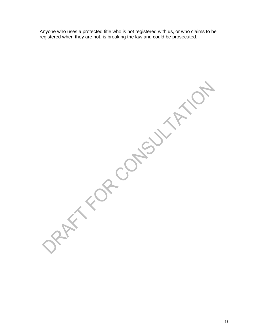Anyone who uses a protected title who is not registered with us, or who claims to be registered when they are not, is breaking the law and could be prosecuted.

NATION OPPOULTANC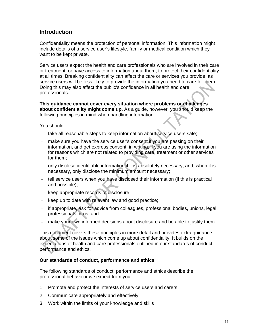## **Introduction**

Confidentiality means the protection of personal information. This information might include details of a service user's lifestyle, family or medical condition which they want to be kept private.

Service users expect the health and care professionals who are involved in their care or treatment, or have access to information about them, to protect their confidentiality at all times. Breaking confidentiality can affect the care or services you provide, as service users will be less likely to provide the information you need to care for them. Doing this may also affect the public's confidence in all health and care professionals.

**This guidance cannot cover every situation where problems or challenges about confidentiality might come up.** As a guide, however, you should keep the following principles in mind when handling information.

You should:

- take all reasonable steps to keep information about service users safe;
- make sure you have the service user's consent if you are passing on their information, and get express consent, in writing, if you are using the information for reasons which are not related to providing care, treatment or other services for them;
- only disclose identifiable information if it is absolutely necessary, and, when it is necessary, only disclose the minimum amount necessary;
- tell service users when you have disclosed their information (if this is practical and possible);
- keep appropriate records of disclosure;
- $-$  keep up to date with relevant law and good practice;
- if appropriate, ask for advice from colleagues, professional bodies, unions, legal professionals or us; and
- make your own informed decisions about disclosure and be able to justify them.

This document covers these principles in more detail and provides extra guidance about some of the issues which come up about confidentiality. It builds on the expectations of health and care professionals outlined in our standards of conduct, performance and ethics.

## **Our standards of conduct, performance and ethics**

The following standards of conduct, performance and ethics describe the professional behaviour we expect from you.

- 1. Promote and protect the interests of service users and carers
- 2. Communicate appropriately and effectively
- 3. Work within the limits of your knowledge and skills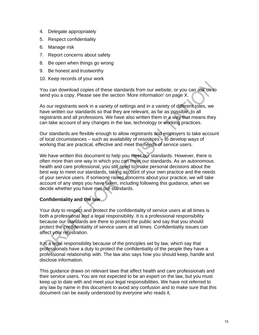- 4. Delegate appropriately
- 5. Respect confidentiality
- 6. Manage risk
- 7. Report concerns about safety
- 8. Be open when things go wrong
- 9. Be honest and trustworthy
- 10. Keep records of your work

You can download copies of these standards from our website, or you can ask us to send you a copy. Please see the section 'More information' on page X.

As our registrants work in a variety of settings and in a variety of different roles, we have written our standards so that they are relevant, as far as possible, to all registrants and all professions. We have also written them in a way that means they can take account of any changes in the law, technology or working practices.

Our standards are flexible enough to allow registrants and employers to take account of local circumstances – such as availability of resources – to develop ways of working that are practical, effective and meet the needs of service users.

We have written this document to help you meet our standards. However, there is often more than one way in which you can meet our standards. As an autonomous health and care professional, you still need to make personal decisions about the best way to meet our standards, taking account of your own practice and the needs of your service users. If someone raises concerns about your practice, we will take account of any steps you have taken, including following this guidance, when we decide whether you have met our standards.

## **Confidentiality and the law**

Your duty to respect and protect the confidentiality of service users at all times is both a professional and a legal responsibility. It is a professional responsibility because our standards are there to protect the public and say that you should protect the confidentiality of service users at all times. Confidentiality issues can affect your registration.

It is a legal responsibility because of the principles set by law, which say that professionals have a duty to protect the confidentiality of the people they have a professional relationship with. The law also says how you should keep, handle and disclose information.

This guidance draws on relevant laws that affect health and care professionals and their service users. You are not expected to be an expert on the law, but you must keep up to date with and meet your legal responsibilities. We have not referred to any law by name in this document to avoid any confusion and to make sure that this document can be easily understood by everyone who reads it.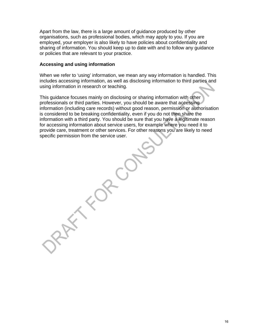Apart from the law, there is a large amount of guidance produced by other organisations, such as professional bodies, which may apply to you. If you are employed, your employer is also likely to have policies about confidentiality and sharing of information. You should keep up to date with and to follow any guidance or policies that are relevant to your practice.

### **Accessing and using information**

When we refer to 'using' information, we mean any way information is handled. This includes accessing information, as well as disclosing information to third parties and using information in research or teaching.

This guidance focuses mainly on disclosing or sharing information with other professionals or third parties. However, you should be aware that accessing information (including care records) without good reason, permission or authorisation is considered to be breaking confidentiality, even if you do not then share the information with a third party. You should be sure that you have a legitimate reason for accessing information about service users, for example where you need it to provide care, treatment or other services. For other reasons you are likely to need specific permission from the service user.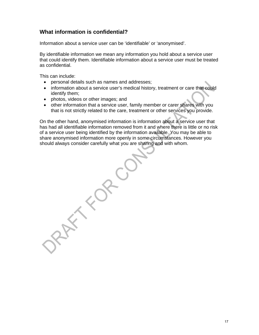## **What information is confidential?**

Information about a service user can be 'identifiable' or 'anonymised'.

By identifiable information we mean any information you hold about a service user that could identify them. Identifiable information about a service user must be treated as confidential.

This can include:

- personal details such as names and addresses;
- information about a service user's medical history, treatment or care that could identify them;
- photos, videos or other images; and
- other information that a service user, family member or carer shares with you that is not strictly related to the care, treatment or other services you provide.

On the other hand, anonymised information is information about a service user that has had all identifiable information removed from it and where there is little or no risk of a service user being identified by the information available. You may be able to share anonymised information more openly in some circumstances. However you should always consider carefully what you are sharing and with whom.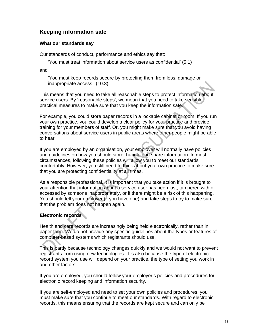## **Keeping information safe**

## **What our standards say**

Our standards of conduct, performance and ethics say that:

'You must treat information about service users as confidential' (5.1)

and

'You must keep records secure by protecting them from loss, damage or inappropriate access.' (10.3)

This means that you need to take all reasonable steps to protect information about service users. By 'reasonable steps', we mean that you need to take sensible, practical measures to make sure that you keep the information safe.

For example, you could store paper records in a lockable cabinet or room. If you run your own practice, you could develop a clear policy for your practice and provide training for your members of staff. Or, you might make sure that you avoid having conversations about service users in public areas where other people might be able to hear.

If you are employed by an organisation, your employer will normally have policies and guidelines on how you should store, handle and share information. In most circumstances, following these policies will allow you to meet our standards comfortably. However, you still need to think about your own practice to make sure that you are protecting confidentiality at all times.

As a responsible professional, it is important that you take action if it is brought to your attention that information about a service user has been lost, tampered with or accessed by someone inappropriately, or if there might be a risk of this happening. You should tell your employer (if you have one) and take steps to try to make sure that the problem does not happen again.

## **Electronic records**

Health and care records are increasingly being held electronically, rather than in paper form. We do not provide any specific guidelines about the types or features of computer-based systems which registrants should use.

This is partly because technology changes quickly and we would not want to prevent registrants from using new technologies. It is also because the type of electronic record system you use will depend on your practice, the type of setting you work in and other factors.

If you are employed, you should follow your employer's policies and procedures for electronic record keeping and information security.

If you are self-employed and need to set your own policies and procedures, you must make sure that you continue to meet our standards. With regard to electronic records, this means ensuring that the records are kept secure and can only be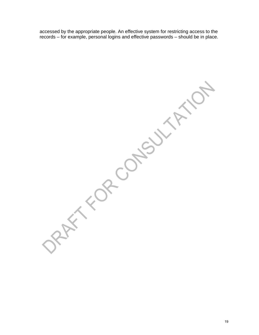accessed by the appropriate people. An effective system for restricting access to the records – for example, personal logins and effective passwords – should be in place.

ORAFT FOR CONSULTATION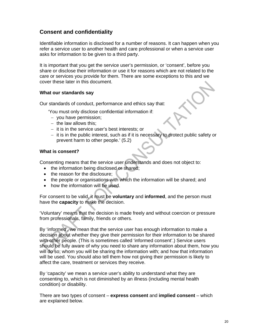## **Consent and confidentiality**

Identifiable information is disclosed for a number of reasons. It can happen when you refer a service user to another health and care professional or when a service user asks for information to be given to a third party.

It is important that you get the service user's permission, or 'consent', before you share or disclose their information or use it for reasons which are not related to the care or services you provide for them. There are some exceptions to this and we cover these later in this document.

## **What our standards say**

Our standards of conduct, performance and ethics say that:

'You must only disclose confidential information if:

- you have permission;
- $-$  the law allows this:
- $-$  it is in the service user's best interests; or
- $-$  it is in the public interest, such as if it is necessary to protect public safety or prevent harm to other people.' (5.2)

#### **What is consent?**

Consenting means that the service user understands and does not object to:

- the information being disclosed or shared;
- the reason for the disclosure;
- the people or organisations with which the information will be shared; and
- how the information will be used.

For consent to be valid, it must be **voluntary** and **informed**, and the person must have the **capacity** to make the decision.

'Voluntary' means that the decision is made freely and without coercion or pressure from professionals, family, friends or others.

By 'informed', we mean that the service user has enough information to make a decision about whether they give their permission for their information to be shared with other people. (This is sometimes called 'informed consent'.) Service users should be fully aware of why you need to share any information about them, how you will do so; whom you will be sharing the information with; and how that information will be used. You should also tell them how not giving their permission is likely to affect the care, treatment or services they receive.

By 'capacity' we mean a service user's ability to understand what they are consenting to, which is not diminished by an illness (including mental health condition) or disability.

There are two types of consent – **express consent** and **implied consent** – which are explained below.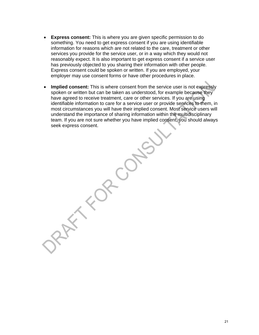- **Express consent:** This is where you are given specific permission to do something. You need to get express consent if you are using identifiable information for reasons which are not related to the care, treatment or other services you provide for the service user, or in a way which they would not reasonably expect. It is also important to get express consent if a service user has previously objected to you sharing their information with other people. Express consent could be spoken or written. If you are employed, your employer may use consent forms or have other procedures in place.
- **Implied consent:** This is where consent from the service user is not expressly spoken or written but can be taken as understood, for example because they have agreed to receive treatment, care or other services. If you are using identifiable information to care for a service user or provide services to them, in most circumstances you will have their implied consent. Most service users will understand the importance of sharing information within the multidisciplinary team. If you are not sure whether you have implied consent, you should always seek express consent.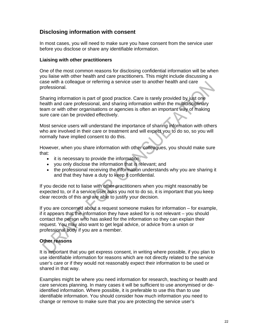## **Disclosing information with consent**

In most cases, you will need to make sure you have consent from the service user before you disclose or share any identifiable information.

## **Liaising with other practitioners**

One of the most common reasons for disclosing confidential information will be when you liaise with other health and care practitioners. This might include discussing a case with a colleague or referring a service user to another health and care professional.

Sharing information is part of good practice. Care is rarely provided by just one health and care professional, and sharing information within the multidisciplinary team or with other organisations or agencies is often an important way of making sure care can be provided effectively.

Most service users will understand the importance of sharing information with others who are involved in their care or treatment and will expect you to do so, so you will normally have implied consent to do this.

However, when you share information with other colleagues, you should make sure that:

- it is necessary to provide the information;
- you only disclose the information that is relevant; and
- the professional receiving the information understands why you are sharing it and that they have a duty to keep it confidential.

If you decide not to liaise with other practitioners when you might reasonably be expected to, or if a service user asks you not to do so, it is important that you keep clear records of this and are able to justify your decision.

If you are concerned about a request someone makes for information – for example, if it appears that the information they have asked for is not relevant – you should contact the person who has asked for the information so they can explain their request. You may also want to get legal advice, or advice from a union or professional body if you are a member.

## **Other reasons**

It is important that you get express consent, in writing where possible, if you plan to use identifiable information for reasons which are not directly related to the service user's care or if they would not reasonably expect their information to be used or shared in that way.

Examples might be where you need information for research, teaching or health and care services planning. In many cases it will be sufficient to use anonymised or deidentified information. Where possible, it is preferable to use this than to use identifiable information. You should consider how much information you need to change or remove to make sure that you are protecting the service user's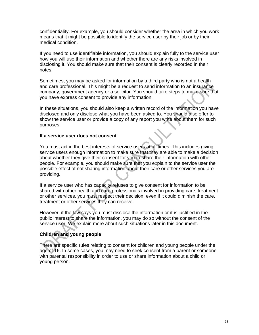confidentiality. For example, you should consider whether the area in which you work means that it might be possible to identify the service user by their job or by their medical condition.

If you need to use identifiable information, you should explain fully to the service user how you will use their information and whether there are any risks involved in disclosing it. You should make sure that their consent is clearly recorded in their notes.

Sometimes, you may be asked for information by a third party who is not a health and care professional. This might be a request to send information to an insurance company, government agency or a solicitor. You should take steps to make sure that you have express consent to provide any information.

In these situations, you should also keep a written record of the information you have disclosed and only disclose what you have been asked to. You should also offer to show the service user or provide a copy of any report you write about them for such purposes.

## **If a service user does not consent**

You must act in the best interests of service users at all times. This includes giving service users enough information to make sure that they are able to make a decision about whether they give their consent for you to share their information with other people. For example, you should make sure that you explain to the service user the possible effect of not sharing information about their care or other services you are providing.

If a service user who has capacity refuses to give consent for information to be shared with other health and care professionals involved in providing care, treatment or other services, you must respect their decision, even if it could diminish the care, treatment or other services they can receive.

However, if the law says you must disclose the information or it is justified in the public interest to share the information, you may do so without the consent of the service user. We explain more about such situations later in this document.

## **Children and young people**

There are specific rules relating to consent for children and young people under the age of 16. In some cases, you may need to seek consent from a parent or someone with parental responsibility in order to use or share information about a child or young person.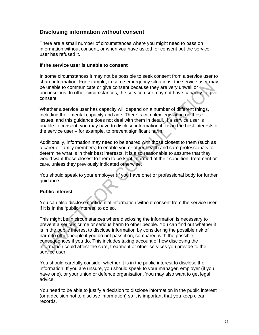## **Disclosing information without consent**

There are a small number of circumstances where you might need to pass on information without consent, or when you have asked for consent but the service user has refused it.

## **If the service user is unable to consent**

In some circumstances it may not be possible to seek consent from a service user to share information. For example, in some emergency situations, the service user may be unable to communicate or give consent because they are very unwell or unconscious. In other circumstances, the service user may not have capacity to give consent.

Whether a service user has capacity will depend on a number of different things, including their mental capacity and age. There is complex legislation on these issues, and this guidance does not deal with them in detail. If a service user is unable to consent, you may have to disclose information if it is in the best interests of the service user – for example, to prevent significant harm.

Additionally, information may need to be shared with those closest to them (such as a carer or family members) to enable you or other health and care professionals to determine what is in their best interests. It is also reasonable to assume that they would want those closest to them to be kept informed of their condition, treatment or care, unless they previously indicated otherwise.

You should speak to your employer (if you have one) or professional body for further guidance.

## **Public interest**

You can also disclose confidential information without consent from the service user if it is in the 'public interest' to do so.

This might be in circumstances where disclosing the information is necessary to prevent a serious crime or serious harm to other people. You can find out whether it is in the public interest to disclose information by considering the possible risk of harm to other people if you do not pass it on, compared with the possible consequences if you do. This includes taking account of how disclosing the information could affect the care, treatment or other services you provide to the service user.

You should carefully consider whether it is in the public interest to disclose the information. If you are unsure, you should speak to your manager, employer (if you have one), or your union or defence organisation. You may also want to get legal advice.

You need to be able to justify a decision to disclose information in the public interest (or a decision not to disclose information) so it is important that you keep clear records.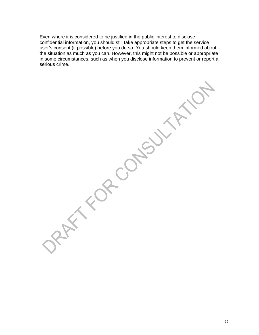Even where it is considered to be justified in the public interest to disclose confidential information, you should still take appropriate steps to get the service user's consent (if possible) before you do so. You should keep them informed about the situation as much as you can. However, this might not be possible or appropriate in some circumstances, such as when you disclose information to prevent or report a serious crime.

FOR CONSOY

 $\times$ 

BY C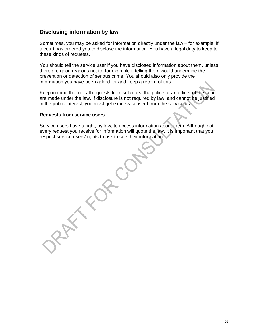## **Disclosing information by law**

Sometimes, you may be asked for information directly under the law – for example, if a court has ordered you to disclose the information. You have a legal duty to keep to these kinds of requests.

You should tell the service user if you have disclosed information about them, unless there are good reasons not to, for example if telling them would undermine the prevention or detection of serious crime. You should also only provide the information you have been asked for and keep a record of this.

Keep in mind that not all requests from solicitors, the police or an officer of the court are made under the law. If disclosure is not required by law, and cannot be justified in the public interest, you must get express consent from the service user.

#### **Requests from service users**

Service users have a right, by law, to access information about them. Although not every request you receive for information will quote the law, it is important that you respect service users' rights to ask to see their information.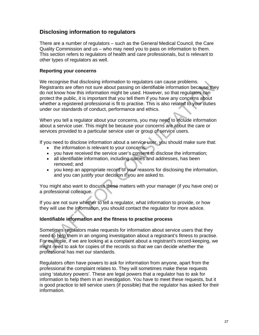## **Disclosing information to regulators**

There are a number of regulators – such as the General Medical Council, the Care Quality Commission and us – who may need you to pass on information to them. This section refers to regulators of health and care professionals, but is relevant to other types of regulators as well.

## **Reporting your concerns**

We recognise that disclosing information to regulators can cause problems. Registrants are often not sure about passing on identifiable information because they do not know how this information might be used. However, so that regulators can protect the public, it is important that you tell them if you have any concerns about whether a registered professional is fit to practise. This is also related to your duties under our standards of conduct, performance and ethics.

When you tell a regulator about your concerns, you may need to include information about a service user. This might be because your concerns are about the care or services provided to a particular service user or group of service users.

If you need to disclose information about a service user, you should make sure that:

- the information is relevant to your concerns;
- you have received the service user's consent to disclose the information;
- all identifiable information, including names and addresses, has been removed; and
- you keep an appropriate record of your reasons for disclosing the information, and you can justify your decision if you are asked to.

You might also want to discuss these matters with your manager (if you have one) or a professional colleague.

If you are not sure whether to tell a regulator, what information to provide, or how they will use the information, you should contact the regulator for more advice.

## **Identifiable information and the fitness to practise process**

Sometimes regulators make requests for information about service users that they need to help them in an ongoing investigation about a registrant's fitness to practise. For example, if we are looking at a complaint about a registrant's record-keeping, we might need to ask for copies of the records so that we can decide whether the professional has met our standards.

Regulators often have powers to ask for information from anyone, apart from the professional the complaint relates to. They will sometimes make these requests using 'statutory powers'. These are legal powers that a regulator has to ask for information to help them in an investigation. You have to meet these requests, but it is good practice to tell service users (if possible) that the regulator has asked for their information.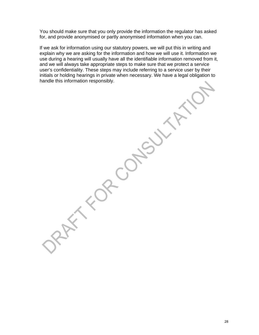You should make sure that you only provide the information the regulator has asked for, and provide anonymised or partly anonymised information when you can.

If we ask for information using our statutory powers, we will put this in writing and explain why we are asking for the information and how we will use it. Information we use during a hearing will usually have all the identifiable information removed from it, and we will always take appropriate steps to make sure that we protect a service user's confidentiality. These steps may include referring to a service user by their initials or holding hearings in private when necessary. We have a legal obligation to handle this information responsibly.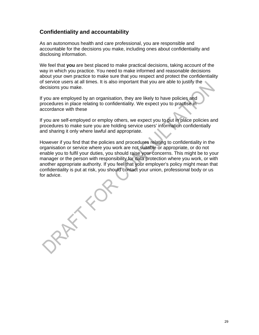## **Confidentiality and accountability**

As an autonomous health and care professional, you are responsible and accountable for the decisions you make, including ones about confidentiality and disclosing information.

We feel that **you** are best placed to make practical decisions, taking account of the way in which you practice. You need to make informed and reasonable decisions about your own practice to make sure that you respect and protect the confidentiality of service users at all times. It is also important that you are able to justify the decisions you make.

If you are employed by an organisation, they are likely to have policies and procedures in place relating to confidentiality. We expect you to practise in accordance with these

If you are self-employed or employ others, we expect you to put in place policies and procedures to make sure you are holding service users' information confidentially and sharing it only where lawful and appropriate.

However if you find that the policies and procedures relating to confidentiality in the organisation or service where you work are not suitable or appropriate, or do not enable you to fulfil your duties, you should raise your concerns. This might be to your manager or the person with responsibility for data protection where you work, or with another appropriate authority. If you feel that your employer's policy might mean that confidentiality is put at risk, you should contact your union, professional body or us for advice.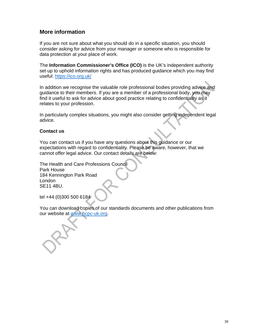## **More information**

If you are not sure about what you should do in a specific situation, you should consider asking for advice from your manager or someone who is responsible for data protection at your place of work.

The **Information Commissioner's Office (ICO)** is the UK's independent authority set up to uphold information rights and has produced guidance which you may find useful: https://ico.org.uk/

In addition we recognise the valuable role professional bodies providing advice and guidance to their members. If you are a member of a professional body, you may find it useful to ask for advice about good practice relating to confidentiality as it relates to your profession.

In particularly complex situations, you might also consider getting independent legal advice.

## **Contact us**

You can contact us if you have any questions about this guidance or our expectations with regard to confidentiality. Please be aware, however, that we cannot offer legal advice. Our contact details are below:

The Health and Care Professions Council Park House 184 Kennington Park Road London SE11 4BU.

tel +44 (0)300 500 6184

You can download copies of our standards documents and other publications from our website at www.hcpc-uk.org.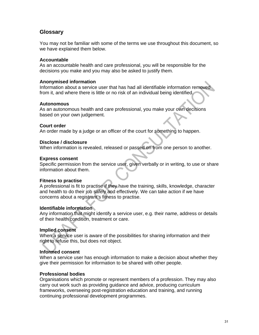## **Glossary**

You may not be familiar with some of the terms we use throughout this document, so we have explained them below.

## **Accountable**

As an accountable health and care professional, you will be responsible for the decisions you make and you may also be asked to justify them.

#### **Anonymised information**

Information about a service user that has had all identifiable information removed from it, and where there is little or no risk of an individual being identified.

#### **Autonomous**

As an autonomous health and care professional, you make your own decisions based on your own judgement.

#### **Court order**

An order made by a judge or an officer of the court for something to happen.

#### **Disclose / disclosure**

When information is revealed, released or passed on from one person to another.

#### **Express consent**

Specific permission from the service user, given verbally or in writing, to use or share information about them.

#### **Fitness to practise**

A professional is fit to practise if they have the training, skills, knowledge, character and health to do their job safely and effectively. We can take action if we have concerns about a registrant's fitness to practise.

#### **Identifiable information**

Any information that might identify a service user, e.g. their name, address or details of their health condition, treatment or care.

## **Implied consent**

When a service user is aware of the possibilities for sharing information and their right to refuse this, but does not object.

## **Informed consent**

When a service user has enough information to make a decision about whether they give their permission for information to be shared with other people.

#### **Professional bodies**

Organisations which promote or represent members of a profession. They may also carry out work such as providing guidance and advice, producing curriculum frameworks, overseeing post-registration education and training, and running continuing professional development programmes.